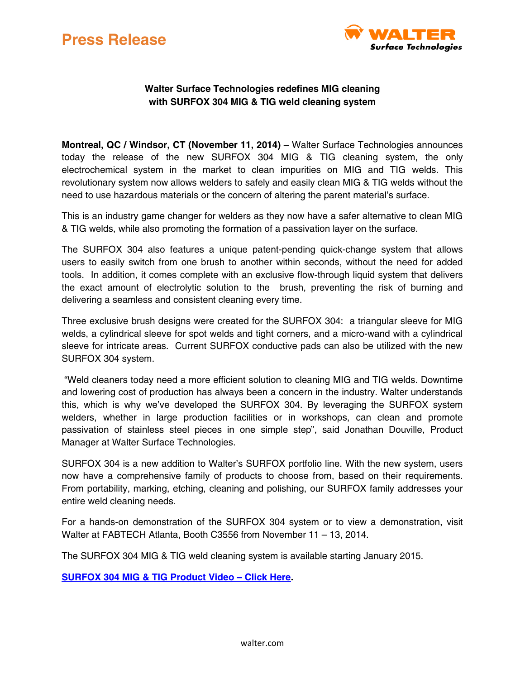



## **Walter Surface Technologies redefines MIG cleaning with SURFOX 304 MIG & TIG weld cleaning system**

**Montreal, QC / Windsor, CT (November 11, 2014)** – Walter Surface Technologies announces today the release of the new SURFOX 304 MIG & TIG cleaning system, the only electrochemical system in the market to clean impurities on MIG and TIG welds. This revolutionary system now allows welders to safely and easily clean MIG & TIG welds without the need to use hazardous materials or the concern of altering the parent material's surface.

This is an industry game changer for welders as they now have a safer alternative to clean MIG & TIG welds, while also promoting the formation of a passivation layer on the surface.

The SURFOX 304 also features a unique patent-pending quick-change system that allows users to easily switch from one brush to another within seconds, without the need for added tools. In addition, it comes complete with an exclusive flow-through liquid system that delivers the exact amount of electrolytic solution to the brush, preventing the risk of burning and delivering a seamless and consistent cleaning every time.

Three exclusive brush designs were created for the SURFOX 304: a triangular sleeve for MIG welds, a cylindrical sleeve for spot welds and tight corners, and a micro-wand with a cylindrical sleeve for intricate areas. Current SURFOX conductive pads can also be utilized with the new SURFOX 304 system.

"Weld cleaners today need a more efficient solution to cleaning MIG and TIG welds. Downtime and lowering cost of production has always been a concern in the industry. Walter understands this, which is why we've developed the SURFOX 304. By leveraging the SURFOX system welders, whether in large production facilities or in workshops, can clean and promote passivation of stainless steel pieces in one simple step", said Jonathan Douville, Product Manager at Walter Surface Technologies.

SURFOX 304 is a new addition to Walter's SURFOX portfolio line. With the new system, users now have a comprehensive family of products to choose from, based on their requirements. From portability, marking, etching, cleaning and polishing, our SURFOX family addresses your entire weld cleaning needs.

For a hands-on demonstration of the SURFOX 304 system or to view a demonstration, visit Walter at FABTECH Atlanta, Booth C3556 from November 11 – 13, 2014.

The SURFOX 304 MIG & TIG weld cleaning system is available starting January 2015.

**[SURFOX 304 MIG & TIG Product Video](http://youtu.be/Won5B7Z3XfQ) – Click Here.**